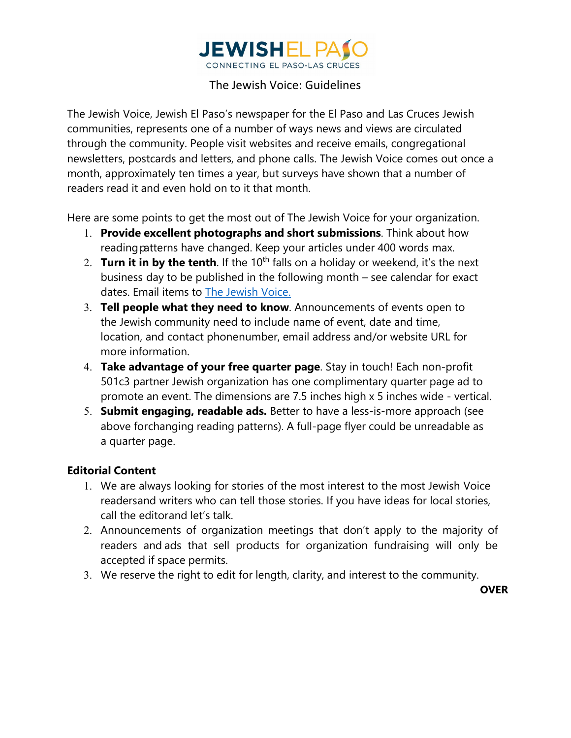

## The Jewish Voice: Guidelines

The Jewish Voice, Jewish El Paso's newspaper for the El Paso and Las Cruces Jewish communities, represents one of a number of ways news and views are circulated through the community. People visit websites and receive emails, congregational newsletters, postcards and letters, and phone calls. The Jewish Voice comes out once a month, approximately ten times a year, but surveys have shown that a number of readers read it and even hold on to it that month.

Here are some points to get the most out of The Jewish Voice for your organization.

- 1. **Provide excellent photographs and short submissions**. Think about how reading patterns have changed. Keep your articles under 400 words max.
- 2. **Turn it in by the tenth**. If the 10th falls on a holiday or weekend, it's the next business day to be published in the following month – see calendar for exact dates. Email items to The Jewish Voice.
- 3. **Tell people what they need to know**. Announcements of events open to the Jewish community need to include name of event, date and time, location, and contact phonenumber, email address and/or website URL for more information.
- 4. **Take advantage of your free quarter page**. Stay in touch! Each non-profit 501c3 partner Jewish organization has one complimentary quarter page ad to promote an event. The dimensions are 7.5 inches high x 5 inches wide - vertical.
- 5. **Submit engaging, readable ads.** Better to have a less-is-more approach (see above forchanging reading patterns). A full-page flyer could be unreadable as a quarter page.

## **Editorial Content**

- 1. We are always looking for stories of the most interest to the most Jewish Voice readersand writers who can tell those stories. If you have ideas for local stories, call the editorand let's talk.
- 2. Announcements of organization meetings that don't apply to the majority of readers and ads that sell products for organization fundraising will only be accepted if space permits.
- 3. We reserve the right to edit for length, clarity, and interest to the community.

**OVER**